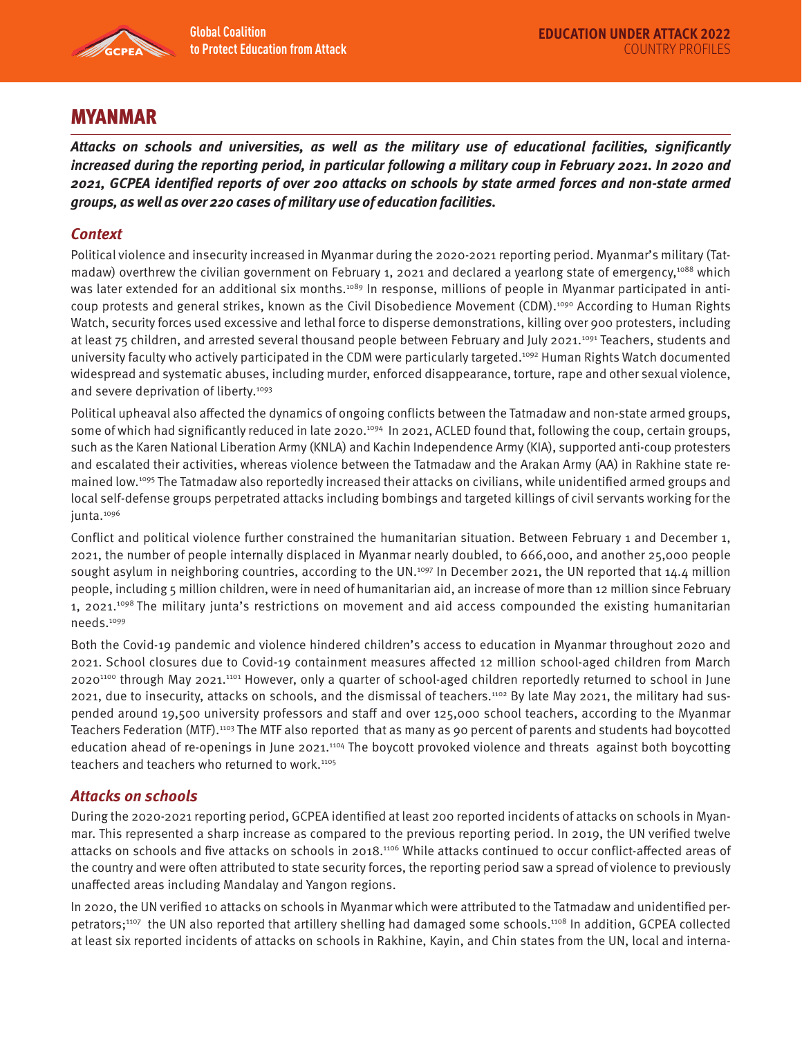

# MYANMAR

**Attacks on schools and universities, as well as the military use of educational facilities, significantly increased during the reporting period, in particular following a military coup in February 2021. In 2020 and 2021, GCPEA identified reports of over 200 attacks on schools by state armed forces and non-state armed groups, as well as over 220 cases of military use of education facilities.** 

## **Context**

Political violence and insecurity increased in Myanmar during the 2020-2021 reporting period. Myanmar's military (Tatmadaw) overthrew the civilian government on February 1, 2021 and declared a yearlong state of emergency,<sup>1088</sup> which was later extended for an additional six months.<sup>1089</sup> In response, millions of people in Myanmar participated in anticoup protests and general strikes, known as the Civil Disobedience Movement (CDM).<sup>1090</sup> According to Human Rights Watch, security forces used excessive and lethal force to disperse demonstrations, killing over 900 protesters, including at least 75 children, and arrested several thousand people between February and July 2021.1091 Teachers, students and university faculty who actively participated in the CDM were particularly targeted.<sup>1092</sup> Human Rights Watch documented widespread and systematic abuses, including murder, enforced disappearance, torture, rape and other sexual violence, and severe deprivation of liberty.<sup>1093</sup>

Political upheaval also affected the dynamics of ongoing conflicts between the Tatmadaw and non-state armed groups, some of which had significantly reduced in late 2020.<sup>1094</sup> In 2021, ACLED found that, following the coup, certain groups, such as the Karen National Liberation Army (KNLA) and Kachin Independence Army (KIA), supported anti-coup protesters and escalated their activities, whereas violence between the Tatmadaw and the Arakan Army (AA) in Rakhine state remained low.<sup>1095</sup> The Tatmadaw also reportedly increased their attacks on civilians, while unidentified armed groups and local self-defense groups perpetrated attacks including bombings and targeted killings of civil servants working for the junta.<sup>1096</sup>

Conflict and political violence further constrained the humanitarian situation. Between February 1 and December 1, 2021, the number of people internally displaced in Myanmar nearly doubled, to 666,000, and another 25,000 people sought asylum in neighboring countries, according to the UN.<sup>1097</sup> In December 2021, the UN reported that 14.4 million people, including 5 million children, were in need of humanitarian aid, an increase of more than 12 million since February 1, 2021.<sup>1098</sup> The military junta's restrictions on movement and aid access compounded the existing humanitarian needs.1099

Both the Covid-19 pandemic and violence hindered children's access to education in Myanmar throughout 2020 and 2021. School closures due to Covid-19 containment measures affected 12 million school-aged children from March 20201100 through May 2021.1101 However, only a quarter of school-aged children reportedly returned to school in June 2021, due to insecurity, attacks on schools, and the dismissal of teachers.1102 By late May 2021, the military had suspended around 19,500 university professors and staff and over 125,000 school teachers, according to the Myanmar Teachers Federation (MTF).1103 The MTF also reported that as many as 90 percent of parents and students had boycotted education ahead of re-openings in June 2021.1104 The boycott provoked violence and threats against both boycotting teachers and teachers who returned to work.<sup>1105</sup>

## **Attacks on schools**

During the 2020-2021 reporting period, GCPEA identified at least 200 reported incidents of attacks on schools in Myanmar. This represented a sharp increase as compared to the previous reporting period. In 2019, the UN verified twelve attacks on schools and five attacks on schools in 2018.1106 While attacks continued to occur conflict-affected areas of the country and were often attributed to state security forces, the reporting period saw a spread of violence to previously unaffected areas including Mandalay and Yangon regions.

In 2020, the UN verified 10 attacks on schools in Myanmar which were attributed to the Tatmadaw and unidentified perpetrators;1107 the UN also reported that artillery shelling had damaged some schools.1108 In addition, GCPEA collected at least six reported incidents of attacks on schools in Rakhine, Kayin, and Chin states from the UN, local and interna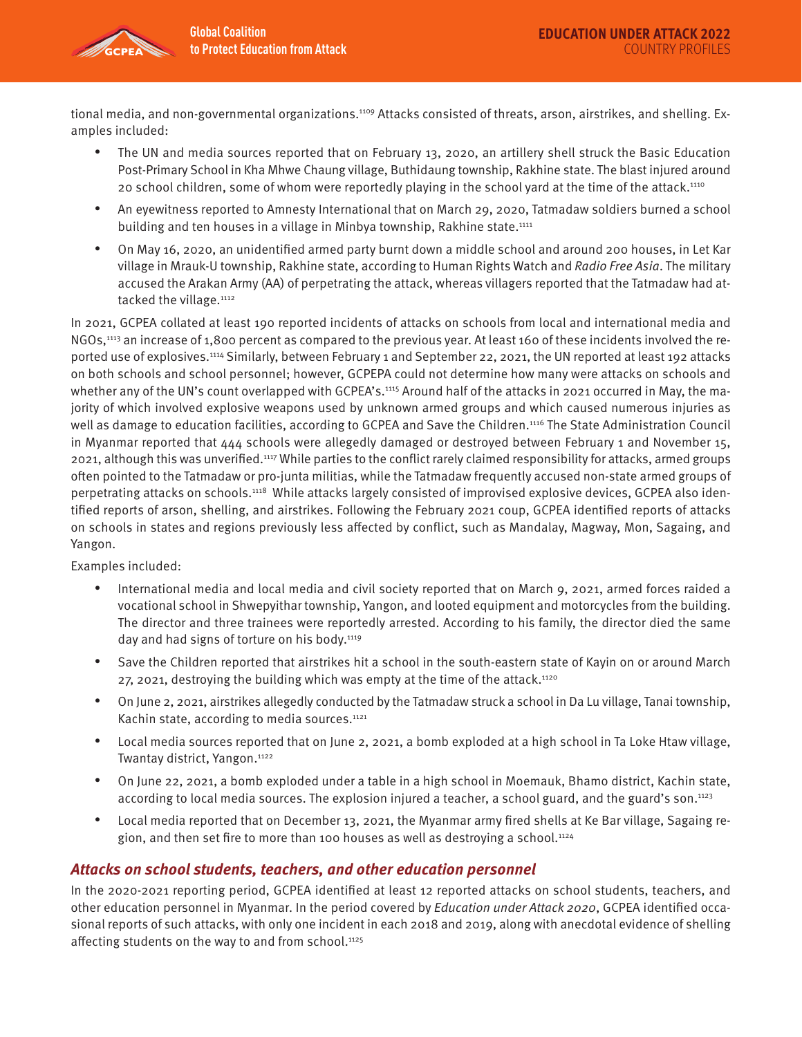tional media, and non-governmental organizations.<sup>1109</sup> Attacks consisted of threats, arson, airstrikes, and shelling. Examples included:

- The UN and media sources reported that on February 13, 2020, an artillery shell struck the Basic Education Post-Primary School in Kha Mhwe Chaung village, Buthidaung township, Rakhine state. The blast injured around 20 school children, some of whom were reportedly playing in the school yard at the time of the attack.<sup>1110</sup>
- An eyewitness reported to Amnesty International that on March 29, 2020, Tatmadaw soldiers burned a school building and ten houses in a village in Minbya township, Rakhine state.<sup>1111</sup>
- On May 16, 2020, an unidentified armed party burnt down a middle school and around 200 houses, in Let Kar village in Mrauk-U township, Rakhine state, according to Human Rights Watch and Radio Free Asia. The military accused the Arakan Army (AA) of perpetrating the attack, whereas villagers reported that the Tatmadaw had attacked the village.<sup>1112</sup>

In 2021, GCPEA collated at least 190 reported incidents of attacks on schools from local and international media and NGOs,1113 an increase of 1,800 percent as compared to the previous year. At least 160 of these incidents involved the reported use of explosives.1114 Similarly, between February 1 and September 22, 2021, the UN reported at least 192 attacks on both schools and school personnel; however, GCPEPA could not determine how many were attacks on schools and whether any of the UN's count overlapped with GCPEA's.<sup>1115</sup> Around half of the attacks in 2021 occurred in May, the majority of which involved explosive weapons used by unknown armed groups and which caused numerous injuries as well as damage to education facilities, according to GCPEA and Save the Children.1116 The State Administration Council in Myanmar reported that 444 schools were allegedly damaged or destroyed between February 1 and November 15, 2021, although this was unverified.1117 While parties to the conflict rarely claimed responsibility for attacks, armed groups often pointed to the Tatmadaw or pro-junta militias, while the Tatmadaw frequently accused non-state armed groups of perpetrating attacks on schools.1118 While attacks largely consisted of improvised explosive devices, GCPEA also identified reports of arson, shelling, and airstrikes. Following the February 2021 coup, GCPEA identified reports of attacks on schools in states and regions previously less affected by conflict, such as Mandalay, Magway, Mon, Sagaing, and Yangon.

#### Examples included:

- International media and local media and civil society reported that on March 9, 2021, armed forces raided a vocational school in Shwepyithar township, Yangon, and looted equipment and motorcycles from the building. The director and three trainees were reportedly arrested. According to his family, the director died the same day and had signs of torture on his body.<sup>1119</sup>
- Save the Children reported that airstrikes hit a school in the south-eastern state of Kayin on or around March 27, 2021, destroying the building which was empty at the time of the attack.<sup>1120</sup>
- On June 2, 2021, airstrikes allegedly conducted by the Tatmadaw struck a school in Da Lu village, Tanai township, Kachin state, according to media sources.<sup>1121</sup>
- Local media sources reported that on June 2, 2021, a bomb exploded at a high school in Ta Loke Htaw village, Twantay district, Yangon.1122
- On June 22, 2021, a bomb exploded under a table in a high school in Moemauk, Bhamo district, Kachin state, according to local media sources. The explosion injured a teacher, a school guard, and the guard's son.<sup>1123</sup>
- Local media reported that on December 13, 2021, the Myanmar army fired shells at Ke Bar village, Sagaing region, and then set fire to more than 100 houses as well as destroying a school.<sup>1124</sup>

### **Attacks on school students, teachers, and other education personnel**

In the 2020-2021 reporting period, GCPEA identified at least 12 reported attacks on school students, teachers, and other education personnel in Myanmar. In the period covered by Education under Attack 2020, GCPEA identified occasional reports of such attacks, with only one incident in each 2018 and 2019, along with anecdotal evidence of shelling affecting students on the way to and from school.<sup>1125</sup>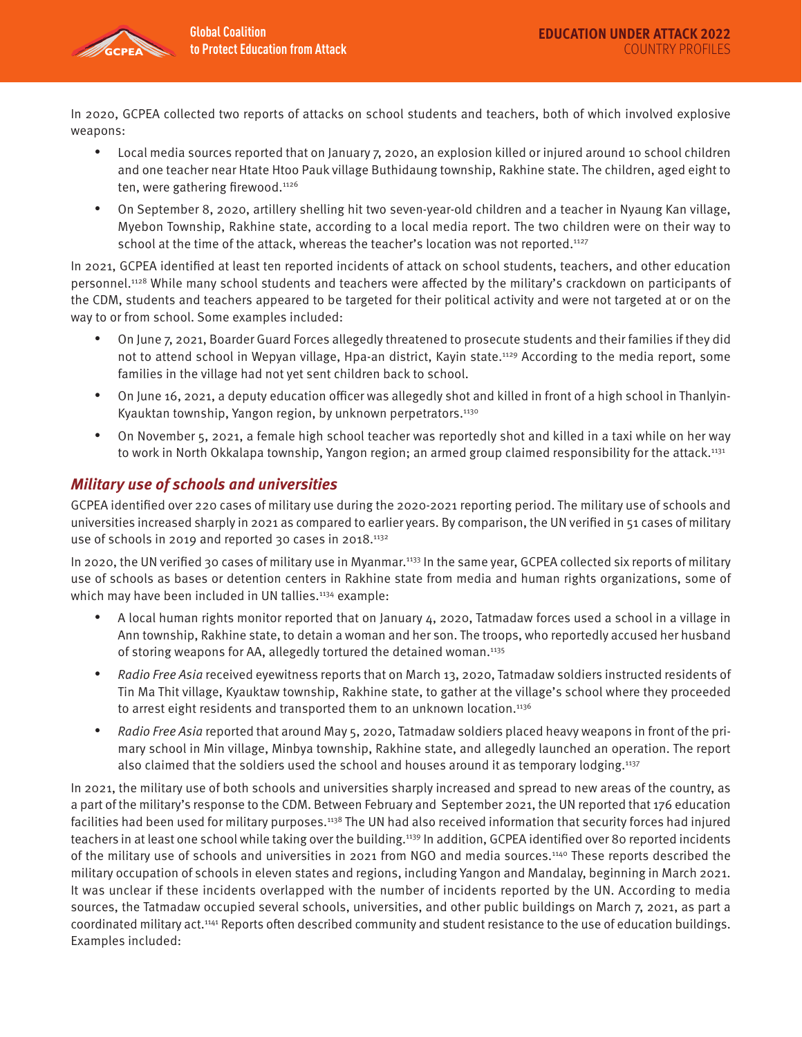In 2020, GCPEA collected two reports of attacks on school students and teachers, both of which involved explosive weapons:

- Local media sources reported that on January 7, 2020, an explosion killed or injured around 10 school children and one teacher near Htate Htoo Pauk village Buthidaung township, Rakhine state. The children, aged eight to ten, were gathering firewood.<sup>1126</sup>
- On September 8, 2020, artillery shelling hit two seven-year-old children and a teacher in Nyaung Kan village, Myebon Township, Rakhine state, according to a local media report. The two children were on their way to school at the time of the attack, whereas the teacher's location was not reported.<sup>1127</sup>

In 2021, GCPEA identified at least ten reported incidents of attack on school students, teachers, and other education personnel.1128 While many school students and teachers were affected by the military's crackdown on participants of the CDM, students and teachers appeared to be targeted for their political activity and were not targeted at or on the way to or from school. Some examples included:

- On June 7, 2021, Boarder Guard Forces allegedly threatened to prosecute students and their families if they did not to attend school in Wepyan village, Hpa-an district, Kayin state.1129 According to the media report, some families in the village had not yet sent children back to school.
- On June 16, 2021, a deputy education officer was allegedly shot and killed in front of a high school in Thanlyin-Kyauktan township, Yangon region, by unknown perpetrators.<sup>1130</sup>
- On November 5, 2021, a female high school teacher was reportedly shot and killed in a taxi while on her way to work in North Okkalapa township, Yangon region; an armed group claimed responsibility for the attack.<sup>1131</sup>

## **Military use of schools and universities**

GCPEA identified over 220 cases of military use during the 2020-2021 reporting period. The military use of schools and universities increased sharply in 2021 as compared to earlier years. By comparison, the UN verified in 51 cases of military use of schools in 2019 and reported 30 cases in 2018.<sup>1132</sup>

In 2020, the UN verified 30 cases of military use in Myanmar.1133 In the same year, GCPEA collected six reports of military use of schools as bases or detention centers in Rakhine state from media and human rights organizations, some of which may have been included in UN tallies.<sup>1134</sup> example:

- A local human rights monitor reported that on January 4, 2020, Tatmadaw forces used a school in a village in Ann township, Rakhine state, to detain a woman and her son. The troops, who reportedly accused her husband of storing weapons for AA, allegedly tortured the detained woman.1135
- Radio Free Asia received eyewitness reports that on March 13, 2020, Tatmadaw soldiers instructed residents of Tin Ma Thit village, Kyauktaw township, Rakhine state, to gather at the village's school where they proceeded to arrest eight residents and transported them to an unknown location.<sup>1136</sup>
- Radio Free Asia reported that around May 5, 2020, Tatmadaw soldiers placed heavy weapons in front of the primary school in Min village, Minbya township, Rakhine state, and allegedly launched an operation. The report also claimed that the soldiers used the school and houses around it as temporary lodging.1137

In 2021, the military use of both schools and universities sharply increased and spread to new areas of the country, as a part of the military's response to the CDM. Between February and September 2021, the UN reported that 176 education facilities had been used for military purposes.1138 The UN had also received information that security forces had injured teachers in at least one school while taking over the building.1139 In addition, GCPEA identified over 80 reported incidents of the military use of schools and universities in 2021 from NGO and media sources.<sup>1140</sup> These reports described the military occupation of schools in eleven states and regions, including Yangon and Mandalay, beginning in March 2021. It was unclear if these incidents overlapped with the number of incidents reported by the UN. According to media sources, the Tatmadaw occupied several schools, universities, and other public buildings on March 7, 2021, as part a coordinated military act.1141 Reports often described community and student resistance to the use of education buildings. Examples included: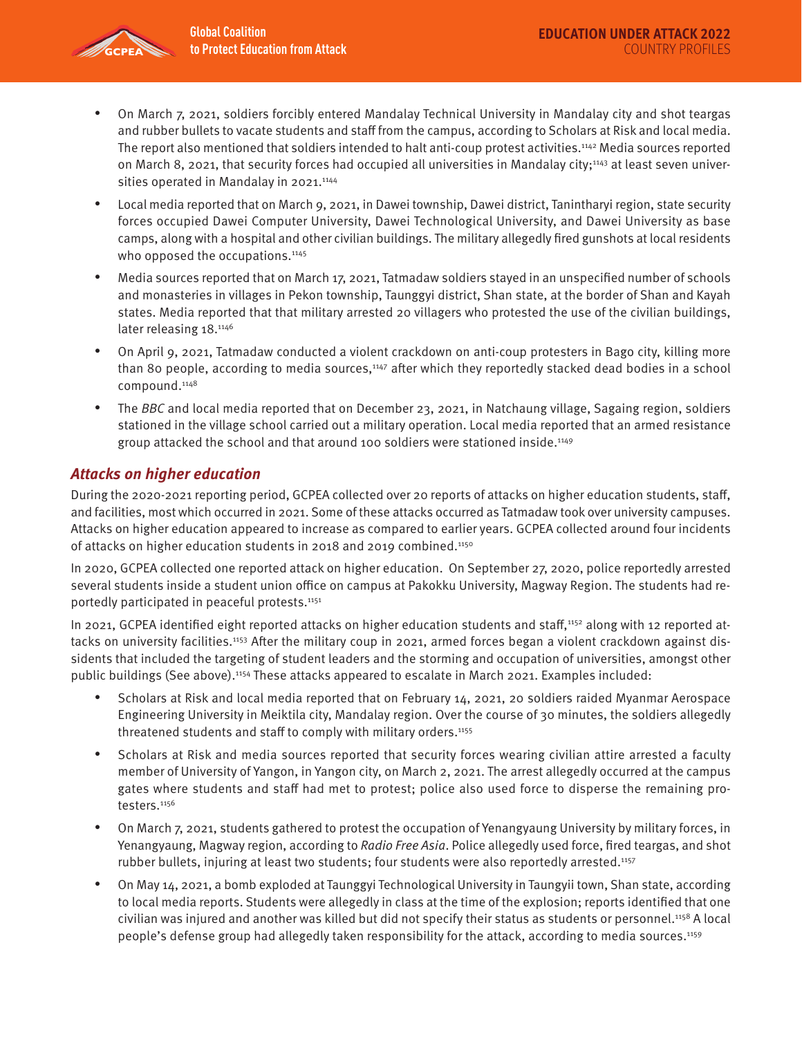

- On March 7, 2021, soldiers forcibly entered Mandalay Technical University in Mandalay city and shot teargas and rubber bullets to vacate students and staff from the campus, according to Scholars at Risk and local media. The report also mentioned that soldiers intended to halt anti-coup protest activities.1142 Media sources reported on March 8, 2021, that security forces had occupied all universities in Mandalay city;<sup>1143</sup> at least seven universities operated in Mandalay in 2021.<sup>1144</sup>
- Local media reported that on March 9, 2021, in Dawei township, Dawei district, Tanintharyi region, state security forces occupied Dawei Computer University, Dawei Technological University, and Dawei University as base camps, along with a hospital and other civilian buildings. The military allegedly fired gunshots at local residents who opposed the occupations.<sup>1145</sup>
- Media sources reported that on March 17, 2021, Tatmadaw soldiers stayed in an unspecified number of schools and monasteries in villages in Pekon township, Taunggyi district, Shan state, at the border of Shan and Kayah states. Media reported that that military arrested 20 villagers who protested the use of the civilian buildings, later releasing 18.<sup>1146</sup>
- On April 9, 2021, Tatmadaw conducted a violent crackdown on anti-coup protesters in Bago city, killing more than 80 people, according to media sources,<sup>1147</sup> after which they reportedly stacked dead bodies in a school compound.1148
- The BBC and local media reported that on December 23, 2021, in Natchaung village, Sagaing region, soldiers stationed in the village school carried out a military operation. Local media reported that an armed resistance group attacked the school and that around 100 soldiers were stationed inside.1149

## **Attacks on higher education**

During the 2020-2021 reporting period, GCPEA collected over 20 reports of attacks on higher education students, staff, and facilities, most which occurred in 2021. Some of these attacks occurred as Tatmadaw took over university campuses. Attacks on higher education appeared to increase as compared to earlier years. GCPEA collected around four incidents of attacks on higher education students in 2018 and 2019 combined.1150

In 2020, GCPEA collected one reported attack on higher education. On September 27, 2020, police reportedly arrested several students inside a student union office on campus at Pakokku University, Magway Region. The students had reportedly participated in peaceful protests.<sup>1151</sup>

In 2021, GCPEA identified eight reported attacks on higher education students and staff,<sup>1152</sup> along with 12 reported attacks on university facilities.1153 After the military coup in 2021, armed forces began a violent crackdown against dissidents that included the targeting of student leaders and the storming and occupation of universities, amongst other public buildings (See above).1154 These attacks appeared to escalate in March 2021. Examples included:

- Scholars at Risk and local media reported that on February 14, 2021, 20 soldiers raided Myanmar Aerospace Engineering University in Meiktila city, Mandalay region. Over the course of 30 minutes, the soldiers allegedly threatened students and staff to comply with military orders.<sup>1155</sup>
- Scholars at Risk and media sources reported that security forces wearing civilian attire arrested a faculty member of University of Yangon, in Yangon city, on March 2, 2021. The arrest allegedly occurred at the campus gates where students and staff had met to protest; police also used force to disperse the remaining protesters.<sup>1156</sup>
- On March 7, 2021, students gathered to protest the occupation of Yenangyaung University by military forces, in Yenangyaung, Magway region, according to Radio Free Asia. Police allegedly used force, fired teargas, and shot rubber bullets, injuring at least two students; four students were also reportedly arrested.1157
- On May 14, 2021, a bomb exploded at Taunggyi Technological University in Taungyii town, Shan state, according to local media reports. Students were allegedly in class at the time of the explosion; reports identified that one civilian was injured and another was killed but did not specify their status as students or personnel.<sup>1158</sup> A local people's defense group had allegedly taken responsibility for the attack, according to media sources.1159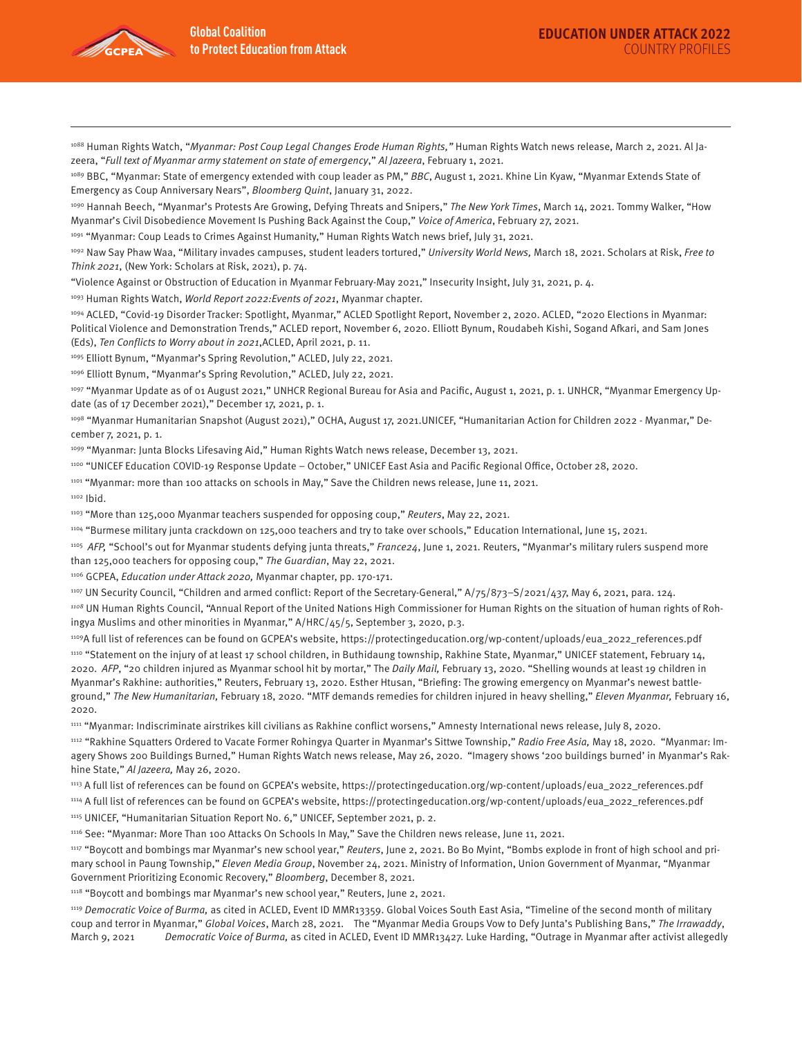

<sup>1088</sup> Human Rights Watch, "Myanmar: Post Coup Legal Changes Erode Human Rights," Human Rights Watch news release, March 2, 2021. Al Jazeera, "Full text of Myanmar army statement on state of emergency," Al Jazeera, February 1, 2021.

1089 BBC, "Myanmar: State of emergency extended with coup leader as PM," BBC, August 1, 2021. Khine Lin Kyaw, "Myanmar Extends State of Emergency as Coup Anniversary Nears", Bloomberg Quint, January 31, 2022.

1090 Hannah Beech, "Myanmar's Protests Are Growing, Defying Threats and Snipers," The New York Times, March 14, 2021. Tommy Walker, "How Myanmar's Civil Disobedience Movement Is Pushing Back Against the Coup," Voice of America, February 27, 2021.

1091 "Myanmar: Coup Leads to Crimes Against Humanity," Human Rights Watch news brief, July 31, 2021.

1092 Naw Say Phaw Waa, "Military invades campuses, student leaders tortured," University World News, March 18, 2021. Scholars at Risk, Free to Think 2021, (New York: Scholars at Risk, 2021), p. 74.

"Violence Against or Obstruction of Education in Myanmar February-May 2021," Insecurity Insight, July 31, 2021, p. 4.

1093 Human Rights Watch, World Report 2022: Events of 2021, Myanmar chapter.

1094 ACLED, "Covid-19 Disorder Tracker: Spotlight, Myanmar," ACLED Spotlight Report, November 2, 2020. ACLED, "2020 Elections in Myanmar: Political Violence and Demonstration Trends," ACLED report, November 6, 2020. Elliott Bynum, Roudabeh Kishi, Sogand Afkari, and Sam Jones (Eds), Ten Conflicts to Worry about in 2021,ACLED, April 2021, p. 11.

1095 Elliott Bynum, "Myanmar's Spring Revolution," ACLED, July 22, 2021.

1096 Elliott Bynum, "Myanmar's Spring Revolution," ACLED, July 22, 2021.

1097 "Myanmar Update as of 01 August 2021," UNHCR Regional Bureau for Asia and Pacific, August 1, 2021, p. 1. UNHCR, "Myanmar Emergency Update (as of 17 December 2021)," December 17, 2021, p. 1.

1098 "Myanmar Humanitarian Snapshot (August 2021)," OCHA, August 17, 2021.UNICEF, "Humanitarian Action for Children 2022 - Myanmar," December 7, 2021, p. 1.

1099 "Myanmar: Junta Blocks Lifesaving Aid," Human Rights Watch news release, December 13, 2021.

1100 "UNICEF Education COVID-19 Response Update – October," UNICEF East Asia and Pacific Regional Office, October 28, 2020.

1101 "Myanmar: more than 100 attacks on schools in May," Save the Children news release, June 11, 2021.

1102 Ibid.

1103 "More than 125,000 Myanmar teachers suspended for opposing coup," Reuters, May 22, 2021.

1104 "Burmese military junta crackdown on 125,000 teachers and try to take over schools," Education International, June 15, 2021.

1105 AFP, "School's out for Myanmar students defying junta threats," France24, June 1, 2021. Reuters, "Myanmar's military rulers suspend more than 125,000 teachers for opposing coup," The Guardian, May 22, 2021.

1106 GCPEA, Education under Attack 2020, Myanmar chapter, pp. 170-171.

1107 UN Security Council, "Children and armed conflict: Report of the Secretary-General," A/75/873-S/2021/437, May 6, 2021, para. 124.

<sup>1108</sup> UN Human Rights Council, "Annual Report of the United Nations High Commissioner for Human Rights on the situation of human rights of Rohingya Muslims and other minorities in Myanmar," A/HRC/45/5, September 3, 2020, p.3.

1109A full list of references can be found on GCPEA's website, https://protectingeducation.org/wp-content/uploads/eua\_2022\_references.pdf

1110 "Statement on the injury of at least 17 school children, in Buthidaung township, Rakhine State, Myanmar," UNICEF statement, February 14, 2020. AFP, "20 children injured as Myanmar school hit by mortar," The Daily Mail, February 13, 2020. "Shelling wounds at least 19 children in Myanmar's Rakhine: authorities," Reuters, February 13, 2020. Esther Htusan, "Briefing: The growing emergency on Myanmar's newest battleground," The New Humanitarian, February 18, 2020. "MTF demands remedies for children injured in heavy shelling," Eleven Myanmar, February 16, 2020.

1111 "Myanmar: Indiscriminate airstrikes kill civilians as Rakhine conflict worsens," Amnesty International news release, July 8, 2020.

1112 "Rakhine Squatters Ordered to Vacate Former Rohingya Quarter in Myanmar's Sittwe Township," Radio Free Asia, May 18, 2020. "Myanmar: Imagery Shows 200 Buildings Burned," Human Rights Watch news release, May 26, 2020. "Imagery shows '200 buildings burned' in Myanmar's Rakhine State," Al Jazeera, May 26, 2020.

1113 A full list of references can be found on GCPEA's website, https://protectingeducation.org/wp-content/uploads/eua\_2022\_references.pdf 1114 A full list of references can be found on GCPEA's website, https://protectingeducation.org/wp-content/uploads/eua\_2022\_references.pdf

1115 UNICEF, "Humanitarian Situation Report No. 6," UNICEF, September 2021, p. 2.

1116 See: "Myanmar: More Than 100 Attacks On Schools In May," Save the Children news release, June 11, 2021.

1117 "Boycott and bombings mar Myanmar's new school year," Reuters, June 2, 2021. Bo Bo Myint, "Bombs explode in front of high school and primary school in Paung Township," Eleven Media Group, November 24, 2021. Ministry of Information, Union Government of Myanmar, "Myanmar Government Prioritizing Economic Recovery," Bloomberg, December 8, 2021.

1118 "Boycott and bombings mar Myanmar's new school year," Reuters, June 2, 2021.

<sup>1119</sup> Democratic Voice of Burma, as cited in ACLED, Event ID MMR13359. Global Voices South East Asia, "Timeline of the second month of military coup and terror in Myanmar," Global Voices, March 28, 2021. The "Myanmar Media Groups Vow to Defy Junta's Publishing Bans," The Irrawaddy, March 9, 2021 Democratic Voice of Burma, as cited in ACLED, Event ID MMR13427. Luke Harding, "Outrage in Myanmar after activist allegedly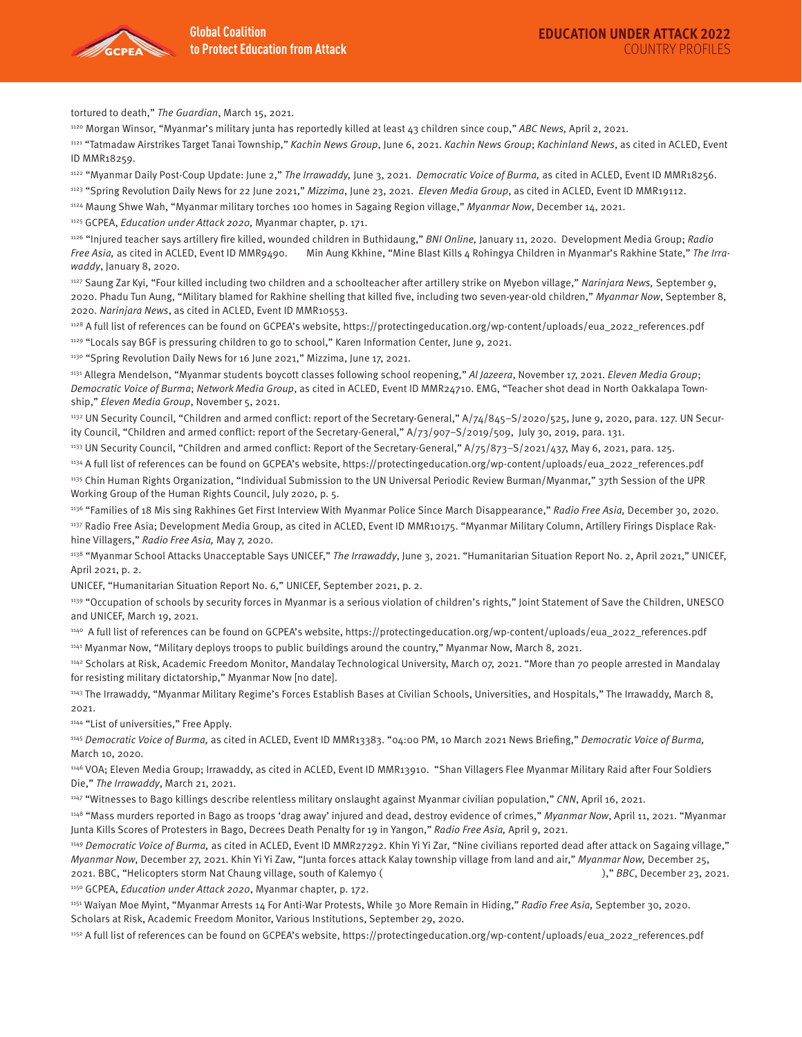

tortured to death," The Guardian, March 15, 2021.

1120 Morgan Winsor, "Myanmar's military junta has reportedly killed at least 43 children since coup," ABC News, April 2, 2021.

1121 "Tatmadaw Airstrikes Target Tanai Township," Kachin News Group, June 6, 2021. Kachin News Group; Kachinland News, as cited in ACLED, Event ID MMR18259.

1122 "Myanmar Daily Post-Coup Update: June 2," The Irrawaddy, June 3, 2021. Democratic Voice of Burma, as cited in ACLED, Event ID MMR18256.

1123 "Spring Revolution Daily News for 22 June 2021," Mizzima, June 23, 2021. Eleven Media Group, as cited in ACLED, Event ID MMR19112.

1124 Maung Shwe Wah, "Myanmar military torches 100 homes in Sagaing Region village," Myanmar Now, December 14, 2021.

1125 GCPEA, Education under Attack 2020, Myanmar chapter, p. 171.

1126 "Injured teacher says artillery fire killed, wounded children in Buthidaung," BNI Online, January 11, 2020. Development Media Group; Radio Free Asia, as cited in ACLED, Event ID MMR9490. Min Aung Kkhine, "Mine Blast Kills 4 Rohingya Children in Myanmar's Rakhine State," The Irrawaddy, January 8, 2020.

<sup>1127</sup> Saung Zar Kyi, "Four killed including two children and a schoolteacher after artillery strike on Myebon village," Narinjara News, September 9, 2020. Phadu Tun Aung, "Military blamed for Rakhine shelling that killed five, including two seven-year-old children," Myanmar Now, September 8, 2020. Narinjara News, as cited in ACLED, Event ID MMR10553.

1128 A full list of references can be found on GCPEA's website, https://protectingeducation.org/wp-content/uploads/eua\_2022\_references.pdf 1129 "Locals say BGF is pressuring children to go to school," Karen Information Center, June 9, 2021.

1130 "Spring Revolution Daily News for 16 June 2021," Mizzima, June 17, 2021.

1131 Allegra Mendelson, "Myanmar students boycott classes following school reopening," Al Jazeera, November 17, 2021. Eleven Media Group; Democratic Voice of Burma; Network Media Group, as cited in ACLED, Event ID MMR24710. EMG, "Teacher shot dead in North Oakkalapa Township," Eleven Media Group, November 5, 2021.

1132 UN Security Council, "Children and armed conflict: report of the Secretary-General," A/74/845-S/2020/525, June 9, 2020, para. 127. UN Security Council, "Children and armed conflict: report of the Secretary-General," A/73/907–S/2019/509, July 30, 2019, para. 131.

1133 UN Security Council, "Children and armed conflict: Report of the Secretary-General," A/75/873-S/2021/437, May 6, 2021, para. 125.

1134 A full list of references can be found on GCPEA's website, https://protectingeducation.org/wp-content/uploads/eua\_2022\_references.pdf

1135 Chin Human Rights Organization, "Individual Submission to the UN Universal Periodic Review Burman/Myanmar," 37th Session of the UPR Working Group of the Human Rights Council, July 2020, p. 5.

1136 "Families of 18 Mis sing Rakhines Get First Interview With Myanmar Police Since March Disappearance," Radio Free Asia, December 30, 2020. 1137 Radio Free Asia; Development Media Group, as cited in ACLED, Event ID MMR10175. "Myanmar Military Column, Artillery Firings Displace Rakhine Villagers," Radio Free Asia, May 7, 2020.

1138 "Myanmar School Attacks Unacceptable Says UNICEF," The Irrawaddy, June 3, 2021. "Humanitarian Situation Report No. 2, April 2021," UNICEF, April 2021, p. 2.

UNICEF, "Humanitarian Situation Report No. 6," UNICEF, September 2021, p. 2.

1139 "Occupation of schools by security forces in Myanmar is a serious violation of children's rights," Joint Statement of Save the Children, UNESCO and UNICEF, March 19, 2021.

1140 A full list of references can be found on GCPEA's website, https://protectingeducation.org/wp-content/uploads/eua\_2022\_references.pdf

1141 Myanmar Now, "Military deploys troops to public buildings around the country," Myanmar Now, March 8, 2021.

1142 Scholars at Risk, Academic Freedom Monitor, Mandalay Technological University, March 07, 2021. "More than 70 people arrested in Mandalay for resisting military dictatorship," Myanmar Now [no date].

1143 The Irrawaddy, "Myanmar Military Regime's Forces Establish Bases at Civilian Schools, Universities, and Hospitals," The Irrawaddy, March 8, 2021.

1144 "List of universities," Free Apply.

1145 Democratic Voice of Burma, as cited in ACLED, Event ID MMR13383. "04:00 PM, 10 March 2021 News Briefing," Democratic Voice of Burma, March 10, 2020.

1146 VOA; Eleven Media Group; Irrawaddy, as cited in ACLED, Event ID MMR13910. "Shan Villagers Flee Myanmar Military Raid after Four Soldiers Die," The Irrawaddy, March 21, 2021.

1147 "Witnesses to Bago killings describe relentless military onslaught against Myanmar civilian population," CNN, April 16, 2021.

1148 "Mass murders reported in Bago as troops 'drag away' injured and dead, destroy evidence of crimes," Myanmar Now, April 11, 2021. "Myanmar Junta Kills Scores of Protesters in Bago, Decrees Death Penalty for 19 in Yangon," Radio Free Asia, April 9, 2021.

1149 Democratic Voice of Burma, as cited in ACLED, Event ID MMR27292. Khin Yi Yi Zar, "Nine civilians reported dead after attack on Sagaing village," Myanmar Now, December 27, 2021. Khin Yi Yi Zaw, "Junta forces attack Kalay township village from land and air," Myanmar Now, December 25, 2021. BBC, "Helicopters storm Nat Chaung village, south of Kalemyo ( $\blacksquare$ )," BBC, December 23, 2021.

1150 GCPEA, Education under Attack 2020, Myanmar chapter, p. 172.

1151 Waiyan Moe Myint, "Myanmar Arrests 14 For Anti-War Protests, While 30 More Remain in Hiding," Radio Free Asia, September 30, 2020. Scholars at Risk, Academic Freedom Monitor, Various Institutions, September 29, 2020.

1152 A full list of references can be found on GCPEA's website, https://protectingeducation.org/wp-content/uploads/eua\_2022\_references.pdf